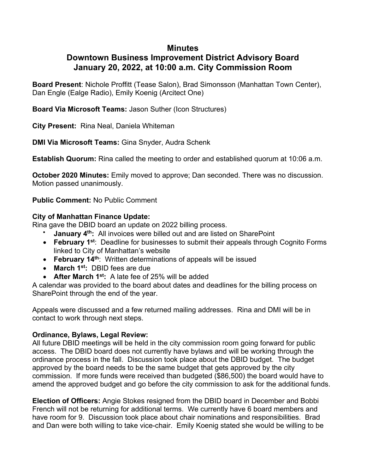## **Minutes**

# **Downtown Business Improvement District Advisory Board January 20, 2022, at 10:00 a.m. City Commission Room**

**Board Present**: Nichole Proffitt (Tease Salon), Brad Simonsson (Manhattan Town Center), Dan Engle (Ealge Radio), Emily Koenig (Arcitect One)

**Board Via Microsoft Teams:** Jason Suther (Icon Structures)

**City Present:** Rina Neal, Daniela Whiteman

**DMI Via Microsoft Teams:** Gina Snyder, Audra Schenk

**Establish Quorum:** Rina called the meeting to order and established quorum at 10:06 a.m.

**October 2020 Minutes:** Emily moved to approve; Dan seconded. There was no discussion. Motion passed unanimously.

**Public Comment:** No Public Comment

#### **City of Manhattan Finance Update:**

Rina gave the DBID board an update on 2022 billing process.

- **January 4<sup>th</sup>:** All invoices were billed out and are listed on SharePoint
- **February 1st**: Deadline for businesses to submit their appeals through Cognito Forms linked to City of Manhattan's website
- **February 14th**: Written determinations of appeals will be issued
- **March 1st:** DBID fees are due
- **After March 1st:** A late fee of 25% will be added

A calendar was provided to the board about dates and deadlines for the billing process on SharePoint through the end of the year.

Appeals were discussed and a few returned mailing addresses. Rina and DMI will be in contact to work through next steps.

### **Ordinance, Bylaws, Legal Review:**

All future DBID meetings will be held in the city commission room going forward for public access. The DBID board does not currently have bylaws and will be working through the ordinance process in the fall. Discussion took place about the DBID budget. The budget approved by the board needs to be the same budget that gets approved by the city commission. If more funds were received than budgeted (\$86,500) the board would have to amend the approved budget and go before the city commission to ask for the additional funds.

**Election of Officers:** Angie Stokes resigned from the DBID board in December and Bobbi French will not be returning for additional terms. We currently have 6 board members and have room for 9. Discussion took place about chair nominations and responsibilities. Brad and Dan were both willing to take vice-chair. Emily Koenig stated she would be willing to be